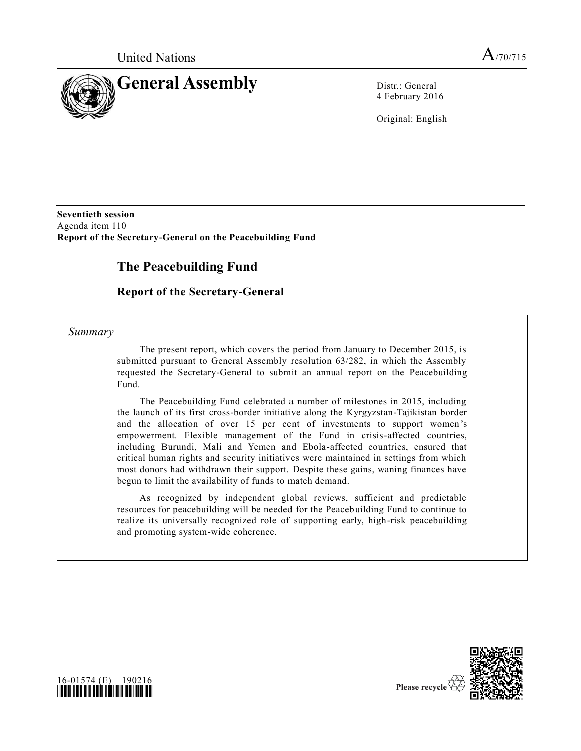

4 February 2016

Original: English

**Seventieth session**  Agenda item 110 **Report of the Secretary-General on the Peacebuilding Fund**

# **The Peacebuilding Fund**

# **Report of the Secretary-General**

*Summary*

The present report, which covers the period from January to December 2015, is submitted pursuant to General Assembly resolution 63/282, in which the Assembly requested the Secretary-General to submit an annual report on the Peacebuilding Fund.

The Peacebuilding Fund celebrated a number of milestones in 2015, including the launch of its first cross-border initiative along the Kyrgyzstan-Tajikistan border and the allocation of over 15 per cent of investments to support women 's empowerment. Flexible management of the Fund in crisis-affected countries, including Burundi, Mali and Yemen and Ebola-affected countries, ensured that critical human rights and security initiatives were maintained in settings from which most donors had withdrawn their support. Despite these gains, waning finances have begun to limit the availability of funds to match demand.

As recognized by independent global reviews, sufficient and predictable resources for peacebuilding will be needed for the Peacebuilding Fund to continue to realize its universally recognized role of supporting early, high-risk peacebuilding and promoting system-wide coherence.



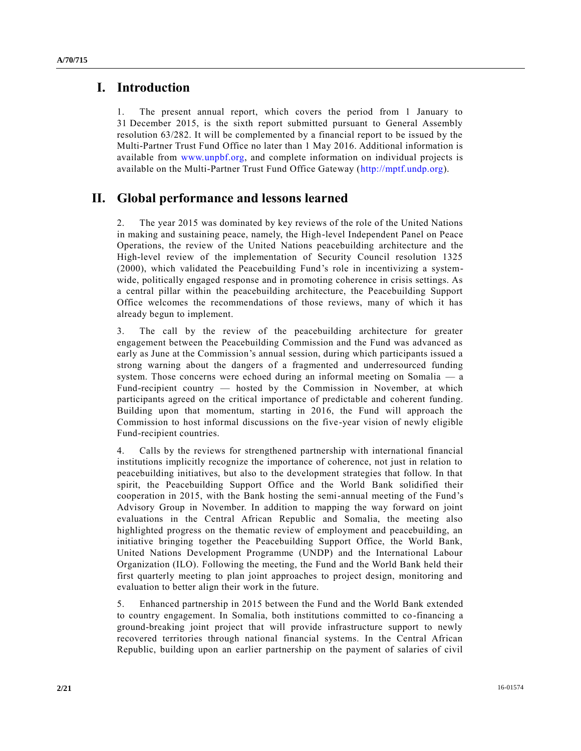# **I. Introduction**

1. The present annual report, which covers the period from 1 January to 31 December 2015, is the sixth report submitted pursuant to General Assembly resolution 63/282. It will be complemented by a financial report to be issued by the Multi-Partner Trust Fund Office no later than 1 May 2016. Additional information is available from [www.unpbf.org,](http://www.unpbf.org/) and complete information on individual projects is available on the Multi-Partner Trust Fund Office Gateway [\(http://mptf.undp.org\)](http://mptf.undp.org/).

# **II. Global performance and lessons learned**

2. The year 2015 was dominated by key reviews of the role of the United Nations in making and sustaining peace, namely, the High-level Independent Panel on Peace Operations, the review of the United Nations peacebuilding architecture and the High-level review of the implementation of Security Council resolution 1325 (2000), which validated the Peacebuilding Fund's role in incentivizing a systemwide, politically engaged response and in promoting coherence in crisis settings. As a central pillar within the peacebuilding architecture, the Peacebuilding Support Office welcomes the recommendations of those reviews, many of which it has already begun to implement.

3. The call by the review of the peacebuilding architecture for greater engagement between the Peacebuilding Commission and the Fund was advanced as early as June at the Commission's annual session, during which participants issued a strong warning about the dangers of a fragmented and underresourced funding system. Those concerns were echoed during an informal meeting on Somalia — a Fund-recipient country — hosted by the Commission in November, at which participants agreed on the critical importance of predictable and coherent funding. Building upon that momentum, starting in 2016, the Fund will approach the Commission to host informal discussions on the five-year vision of newly eligible Fund-recipient countries.

4. Calls by the reviews for strengthened partnership with international financial institutions implicitly recognize the importance of coherence, not just in relation to peacebuilding initiatives, but also to the development strategies that follow. In that spirit, the Peacebuilding Support Office and the World Bank solidified their cooperation in 2015, with the Bank hosting the semi-annual meeting of the Fund's Advisory Group in November. In addition to mapping the way forward on joint evaluations in the Central African Republic and Somalia, the meeting also highlighted progress on the thematic review of employment and peacebuilding, an initiative bringing together the Peacebuilding Support Office, the World Bank, United Nations Development Programme (UNDP) and the International Labour Organization (ILO). Following the meeting, the Fund and the World Bank held their first quarterly meeting to plan joint approaches to project design, monitoring and evaluation to better align their work in the future.

5. Enhanced partnership in 2015 between the Fund and the World Bank extended to country engagement. In Somalia, both institutions committed to co-financing a ground-breaking joint project that will provide infrastructure support to newly recovered territories through national financial systems. In the Central African Republic, building upon an earlier partnership on the payment of salaries of civil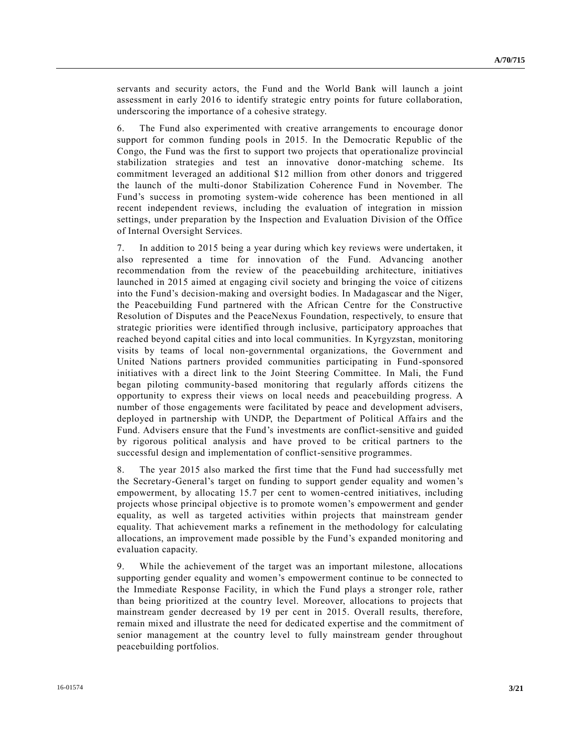servants and security actors, the Fund and the World Bank will launch a joint assessment in early 2016 to identify strategic entry points for future collaboration, underscoring the importance of a cohesive strategy.

6. The Fund also experimented with creative arrangements to encourage donor support for common funding pools in 2015. In the Democratic Republic of the Congo, the Fund was the first to support two projects that operationalize provincial stabilization strategies and test an innovative donor-matching scheme. Its commitment leveraged an additional \$12 million from other donors and triggered the launch of the multi-donor Stabilization Coherence Fund in November. The Fund's success in promoting system-wide coherence has been mentioned in all recent independent reviews, including the evaluation of integration in mission settings, under preparation by the Inspection and Evaluation Division of the Office of Internal Oversight Services.

7. In addition to 2015 being a year during which key reviews were undertaken, it also represented a time for innovation of the Fund. Advancing another recommendation from the review of the peacebuilding architecture, initiatives launched in 2015 aimed at engaging civil society and bringing the voice of citizens into the Fund's decision-making and oversight bodies. In Madagascar and the Niger, the Peacebuilding Fund partnered with the African Centre for the Constructive Resolution of Disputes and the PeaceNexus Foundation, respectively, to ensure that strategic priorities were identified through inclusive, participatory approaches that reached beyond capital cities and into local communities. In Kyrgyzstan, monitoring visits by teams of local non-governmental organizations, the Government and United Nations partners provided communities participating in Fund-sponsored initiatives with a direct link to the Joint Steering Committee. In Mali, the Fund began piloting community-based monitoring that regularly affords citizens the opportunity to express their views on local needs and peacebuilding progress. A number of those engagements were facilitated by peace and development advisers, deployed in partnership with UNDP, the Department of Political Affairs and the Fund. Advisers ensure that the Fund's investments are conflict-sensitive and guided by rigorous political analysis and have proved to be critical partners to the successful design and implementation of conflict-sensitive programmes.

8. The year 2015 also marked the first time that the Fund had successfully met the Secretary-General's target on funding to support gender equality and women's empowerment, by allocating 15.7 per cent to women-centred initiatives, including projects whose principal objective is to promote women's empowerment and gender equality, as well as targeted activities within projects that mainstream gender equality. That achievement marks a refinement in the methodology for calculating allocations, an improvement made possible by the Fund's expanded monitoring and evaluation capacity.

9. While the achievement of the target was an important milestone, allocations supporting gender equality and women's empowerment continue to be connected to the Immediate Response Facility, in which the Fund plays a stronger role, rather than being prioritized at the country level. Moreover, allocations to projects that mainstream gender decreased by 19 per cent in 2015. Overall results, therefore, remain mixed and illustrate the need for dedicated expertise and the commitment of senior management at the country level to fully mainstream gender throughout peacebuilding portfolios.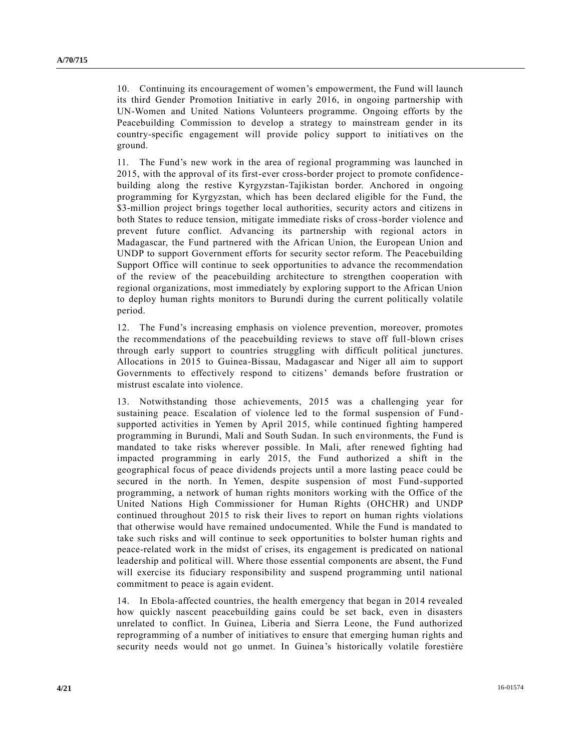10. Continuing its encouragement of women's empowerment, the Fund will launch its third Gender Promotion Initiative in early 2016, in ongoing partnership with UN-Women and United Nations Volunteers programme. Ongoing efforts by the Peacebuilding Commission to develop a strategy to mainstream gender in its country-specific engagement will provide policy support to initiatives on the ground.

11. The Fund's new work in the area of regional programming was launched in 2015, with the approval of its first-ever cross-border project to promote confidencebuilding along the restive Kyrgyzstan-Tajikistan border. Anchored in ongoing programming for Kyrgyzstan, which has been declared eligible for the Fund, the \$3-million project brings together local authorities, security actors and citizens in both States to reduce tension, mitigate immediate risks of cross-border violence and prevent future conflict. Advancing its partnership with regional actors in Madagascar, the Fund partnered with the African Union, the European Union and UNDP to support Government efforts for security sector reform. The Peacebuilding Support Office will continue to seek opportunities to advance the recommendation of the review of the peacebuilding architecture to strengthen cooperation with regional organizations, most immediately by exploring support to the African Union to deploy human rights monitors to Burundi during the current politically volatile period.

12. The Fund's increasing emphasis on violence prevention, moreover, promotes the recommendations of the peacebuilding reviews to stave off full-blown crises through early support to countries struggling with difficult political junctures. Allocations in 2015 to Guinea-Bissau, Madagascar and Niger all aim to support Governments to effectively respond to citizens' demands before frustration or mistrust escalate into violence.

13. Notwithstanding those achievements, 2015 was a challenging year for sustaining peace. Escalation of violence led to the formal suspension of Fund supported activities in Yemen by April 2015, while continued fighting hampered programming in Burundi, Mali and South Sudan. In such environments, the Fund is mandated to take risks wherever possible. In Mali, after renewed fighting had impacted programming in early 2015, the Fund authorized a shift in the geographical focus of peace dividends projects until a more lasting peace could be secured in the north. In Yemen, despite suspension of most Fund-supported programming, a network of human rights monitors working with the Office of the United Nations High Commissioner for Human Rights (OHCHR) and UNDP continued throughout 2015 to risk their lives to report on human rights violations that otherwise would have remained undocumented. While the Fund is mandated to take such risks and will continue to seek opportunities to bolster human rights and peace-related work in the midst of crises, its engagement is predicated on national leadership and political will. Where those essential components are absent, the Fund will exercise its fiduciary responsibility and suspend programming until national commitment to peace is again evident.

14. In Ebola-affected countries, the health emergency that began in 2014 revealed how quickly nascent peacebuilding gains could be set back, even in disasters unrelated to conflict. In Guinea, Liberia and Sierra Leone, the Fund authorized reprogramming of a number of initiatives to ensure that emerging human rights and security needs would not go unmet. In Guinea's historically volatile forestière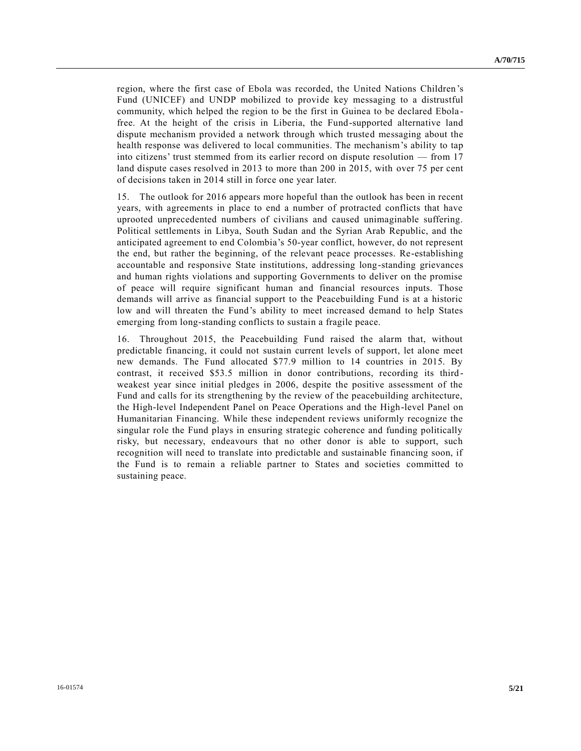region, where the first case of Ebola was recorded, the United Nations Children's Fund (UNICEF) and UNDP mobilized to provide key messaging to a distrustful community, which helped the region to be the first in Guinea to be declared Ebola free. At the height of the crisis in Liberia, the Fund-supported alternative land dispute mechanism provided a network through which trusted messaging about the health response was delivered to local communities. The mechanism's ability to tap into citizens' trust stemmed from its earlier record on dispute resolution — from 17 land dispute cases resolved in 2013 to more than 200 in 2015, with over 75 per cent of decisions taken in 2014 still in force one year later.

15. The outlook for 2016 appears more hopeful than the outlook has been in recent years, with agreements in place to end a number of protracted conflicts that have uprooted unprecedented numbers of civilians and caused unimaginable suffering. Political settlements in Libya, South Sudan and the Syrian Arab Republic, and the anticipated agreement to end Colombia's 50-year conflict, however, do not represent the end, but rather the beginning, of the relevant peace processes. Re-establishing accountable and responsive State institutions, addressing long-standing grievances and human rights violations and supporting Governments to deliver on the promise of peace will require significant human and financial resources inputs. Those demands will arrive as financial support to the Peacebuilding Fund is at a historic low and will threaten the Fund's ability to meet increased demand to help States emerging from long-standing conflicts to sustain a fragile peace.

16. Throughout 2015, the Peacebuilding Fund raised the alarm that, without predictable financing, it could not sustain current levels of support, let alone meet new demands. The Fund allocated \$77.9 million to 14 countries in 2015. By contrast, it received \$53.5 million in donor contributions, recording its third weakest year since initial pledges in 2006, despite the positive assessment of the Fund and calls for its strengthening by the review of the peacebuilding architecture, the High-level Independent Panel on Peace Operations and the High-level Panel on Humanitarian Financing. While these independent reviews uniformly recognize the singular role the Fund plays in ensuring strategic coherence and funding politically risky, but necessary, endeavours that no other donor is able to support, such recognition will need to translate into predictable and sustainable financing soon, if the Fund is to remain a reliable partner to States and societies committed to sustaining peace.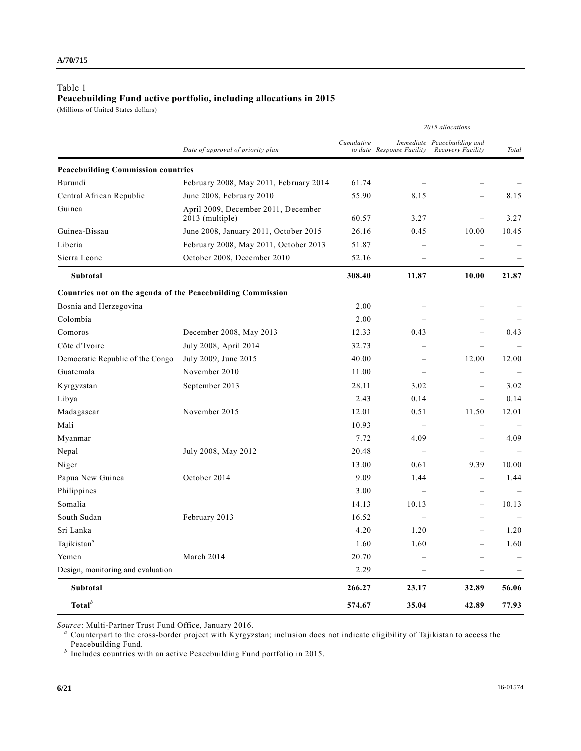# Table 1 **Peacebuilding Fund active portfolio, including allocations in 2015**

(Millions of United States dollars)

|                                                             | Date of approval of priority plan                      | Cumulative | 2015 allocations          |                                                  |       |
|-------------------------------------------------------------|--------------------------------------------------------|------------|---------------------------|--------------------------------------------------|-------|
|                                                             |                                                        |            | to date Response Facility | Immediate Peacebuilding and<br>Recovery Facility | Total |
| <b>Peacebuilding Commission countries</b>                   |                                                        |            |                           |                                                  |       |
| Burundi                                                     | February 2008, May 2011, February 2014                 | 61.74      |                           |                                                  |       |
| Central African Republic                                    | June 2008, February 2010                               | 55.90      | 8.15                      |                                                  | 8.15  |
| Guinea                                                      | April 2009, December 2011, December<br>2013 (multiple) | 60.57      | 3.27                      |                                                  | 3.27  |
| Guinea-Bissau                                               | June 2008, January 2011, October 2015                  | 26.16      | 0.45                      | 10.00                                            | 10.45 |
| Liberia                                                     | February 2008, May 2011, October 2013                  | 51.87      |                           |                                                  |       |
| Sierra Leone                                                | October 2008, December 2010                            | 52.16      |                           |                                                  |       |
| Subtotal                                                    |                                                        | 308.40     | 11.87                     | 10.00                                            | 21.87 |
| Countries not on the agenda of the Peacebuilding Commission |                                                        |            |                           |                                                  |       |
| Bosnia and Herzegovina                                      |                                                        | 2.00       | $\sim$                    |                                                  |       |
| Colombia                                                    |                                                        | 2.00       |                           |                                                  |       |
| Comoros                                                     | December 2008, May 2013                                | 12.33      | 0.43                      | $\overline{\phantom{0}}$                         | 0.43  |
| Côte d'Ivoire                                               | July 2008, April 2014                                  | 32.73      |                           | $\overline{\phantom{a}}$                         |       |
| Democratic Republic of the Congo                            | July 2009, June 2015                                   | 40.00      | $\overline{\phantom{a}}$  | 12.00                                            | 12.00 |
| Guatemala                                                   | November 2010                                          | 11.00      |                           | $\overline{\phantom{0}}$                         |       |
| Kyrgyzstan                                                  | September 2013                                         | 28.11      | 3.02                      | $\equiv$                                         | 3.02  |
| Libya                                                       |                                                        | 2.43       | 0.14                      | $\overline{\phantom{0}}$                         | 0.14  |
| Madagascar                                                  | November 2015                                          | 12.01      | 0.51                      | 11.50                                            | 12.01 |
| Mali                                                        |                                                        | 10.93      |                           | $\overline{\phantom{0}}$                         |       |
| Myanmar                                                     |                                                        | 7.72       | 4.09                      | $\overline{\phantom{0}}$                         | 4.09  |
| Nepal                                                       | July 2008, May 2012                                    | 20.48      |                           | $\overline{\phantom{0}}$                         |       |
| Niger                                                       |                                                        | 13.00      | 0.61                      | 9.39                                             | 10.00 |
| Papua New Guinea                                            | October 2014                                           | 9.09       | 1.44                      | $\overline{\phantom{0}}$                         | 1.44  |
| Philippines                                                 |                                                        | 3.00       |                           | $\equiv$                                         |       |
| Somalia                                                     |                                                        | 14.13      | 10.13                     | $\overline{\phantom{0}}$                         | 10.13 |
| South Sudan                                                 | February 2013                                          | 16.52      |                           |                                                  |       |
| Sri Lanka                                                   |                                                        | 4.20       | 1.20                      |                                                  | 1.20  |
| Tajikistan <sup>a</sup>                                     |                                                        | 1.60       | 1.60                      |                                                  | 1.60  |
| Yemen                                                       | March 2014                                             | 20.70      |                           |                                                  |       |
| Design, monitoring and evaluation                           |                                                        | 2.29       |                           |                                                  |       |
| Subtotal                                                    |                                                        | 266.27     | 23.17                     | 32.89                                            | 56.06 |
| Total $^b$                                                  |                                                        | 574.67     | 35.04                     | 42.89                                            | 77.93 |

*Source*: Multi-Partner Trust Fund Office, January 2016.

*<sup>a</sup>* Counterpart to the cross-border project with Kyrgyzstan; inclusion does not indicate eligibility of Tajikistan to access the Peacebuilding Fund. *b* Includes countries with an active Peacebuilding Fund portfolio in 2015.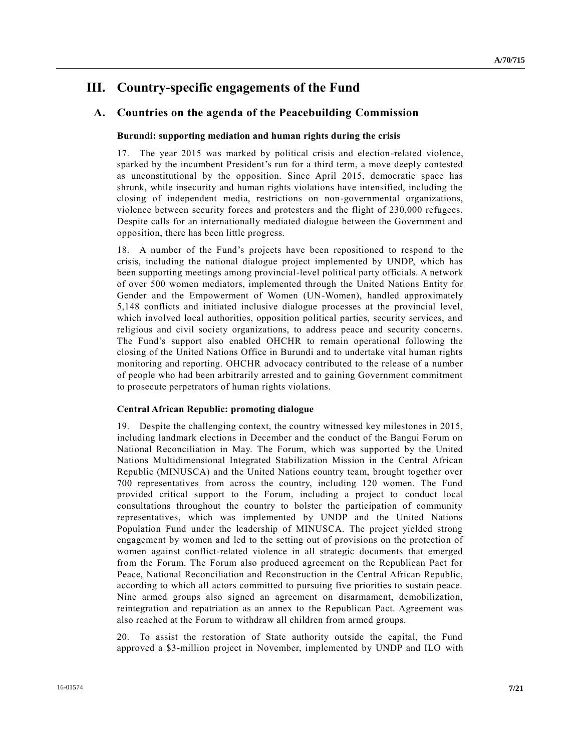# **III. Country-specific engagements of the Fund**

# **A. Countries on the agenda of the Peacebuilding Commission**

## **Burundi: supporting mediation and human rights during the crisis**

17. The year 2015 was marked by political crisis and election-related violence, sparked by the incumbent President's run for a third term, a move deeply contested as unconstitutional by the opposition. Since April 2015, democratic space has shrunk, while insecurity and human rights violations have intensified, including the closing of independent media, restrictions on non-governmental organizations, violence between security forces and protesters and the flight of 230,000 refugees. Despite calls for an internationally mediated dialogue between the Government and opposition, there has been little progress.

18. A number of the Fund's projects have been repositioned to respond to the crisis, including the national dialogue project implemented by UNDP, which has been supporting meetings among provincial-level political party officials. A network of over 500 women mediators, implemented through the United Nations Entity for Gender and the Empowerment of Women (UN-Women), handled approximately 5,148 conflicts and initiated inclusive dialogue processes at the provincial level, which involved local authorities, opposition political parties, security services, and religious and civil society organizations, to address peace and security concerns. The Fund's support also enabled OHCHR to remain operational following the closing of the United Nations Office in Burundi and to undertake vital human rights monitoring and reporting. OHCHR advocacy contributed to the release of a number of people who had been arbitrarily arrested and to gaining Government commitment to prosecute perpetrators of human rights violations.

## **Central African Republic: promoting dialogue**

19. Despite the challenging context, the country witnessed key milestones in 2015, including landmark elections in December and the conduct of the Bangui Forum on National Reconciliation in May. The Forum, which was supported by the United Nations Multidimensional Integrated Stabilization Mission in the Central African Republic (MINUSCA) and the United Nations country team, brought together over 700 representatives from across the country, including 120 women. The Fund provided critical support to the Forum, including a project to conduct local consultations throughout the country to bolster the participation of community representatives, which was implemented by UNDP and the United Nations Population Fund under the leadership of MINUSCA. The project yielded strong engagement by women and led to the setting out of provisions on the protection of women against conflict-related violence in all strategic documents that emerged from the Forum. The Forum also produced agreement on the Republican Pact for Peace, National Reconciliation and Reconstruction in the Central African Republic, according to which all actors committed to pursuing five priorities to sustain peace. Nine armed groups also signed an agreement on disarmament, demobilization, reintegration and repatriation as an annex to the Republican Pact. Agreement was also reached at the Forum to withdraw all children from armed groups.

20. To assist the restoration of State authority outside the capital, the Fund approved a \$3-million project in November, implemented by UNDP and ILO with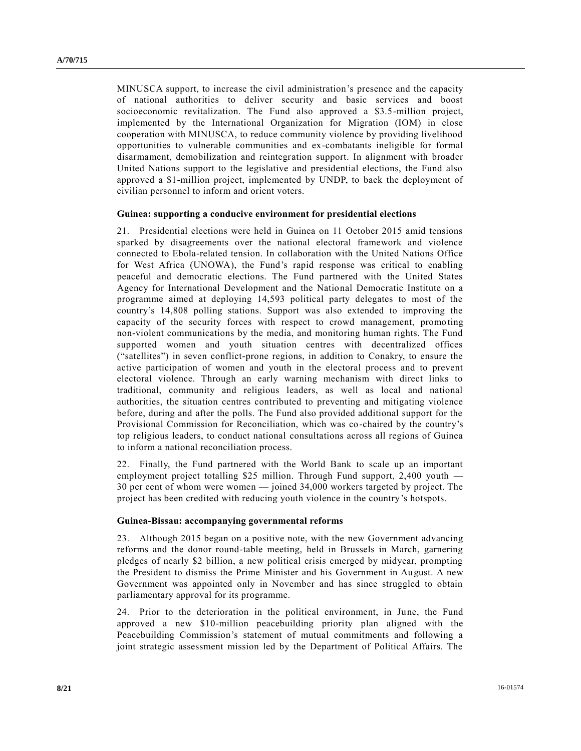MINUSCA support, to increase the civil administration's presence and the capacity of national authorities to deliver security and basic services and boost socioeconomic revitalization. The Fund also approved a \$3.5-million project, implemented by the International Organization for Migration (IOM) in close cooperation with MINUSCA, to reduce community violence by providing livelihood opportunities to vulnerable communities and ex-combatants ineligible for formal disarmament, demobilization and reintegration support. In alignment with broader United Nations support to the legislative and presidential elections, the Fund also approved a \$1-million project, implemented by UNDP, to back the deployment of civilian personnel to inform and orient voters.

## **Guinea: supporting a conducive environment for presidential elections**

21. Presidential elections were held in Guinea on 11 October 2015 amid tensions sparked by disagreements over the national electoral framework and violence connected to Ebola-related tension. In collaboration with the United Nations Office for West Africa (UNOWA), the Fund's rapid response was critical to enabling peaceful and democratic elections. The Fund partnered with the United States Agency for International Development and the National Democratic Institute on a programme aimed at deploying 14,593 political party delegates to most of the country's 14,808 polling stations. Support was also extended to improving the capacity of the security forces with respect to crowd management, promo ting non-violent communications by the media, and monitoring human rights. The Fund supported women and youth situation centres with decentralized offices ("satellites") in seven conflict-prone regions, in addition to Conakry, to ensure the active participation of women and youth in the electoral process and to prevent electoral violence. Through an early warning mechanism with direct links to traditional, community and religious leaders, as well as local and national authorities, the situation centres contributed to preventing and mitigating violence before, during and after the polls. The Fund also provided additional support for the Provisional Commission for Reconciliation, which was co-chaired by the country's top religious leaders, to conduct national consultations across all regions of Guinea to inform a national reconciliation process.

22. Finally, the Fund partnered with the World Bank to scale up an important employment project totalling \$25 million. Through Fund support, 2,400 youth — 30 per cent of whom were women — joined 34,000 workers targeted by project. The project has been credited with reducing youth violence in the country's hotspots.

#### **Guinea-Bissau: accompanying governmental reforms**

23. Although 2015 began on a positive note, with the new Government advancing reforms and the donor round-table meeting, held in Brussels in March, garnering pledges of nearly \$2 billion, a new political crisis emerged by midyear, prompting the President to dismiss the Prime Minister and his Government in August. A new Government was appointed only in November and has since struggled to obtain parliamentary approval for its programme.

24. Prior to the deterioration in the political environment, in June, the Fund approved a new \$10-million peacebuilding priority plan aligned with the Peacebuilding Commission's statement of mutual commitments and following a joint strategic assessment mission led by the Department of Political Affairs. The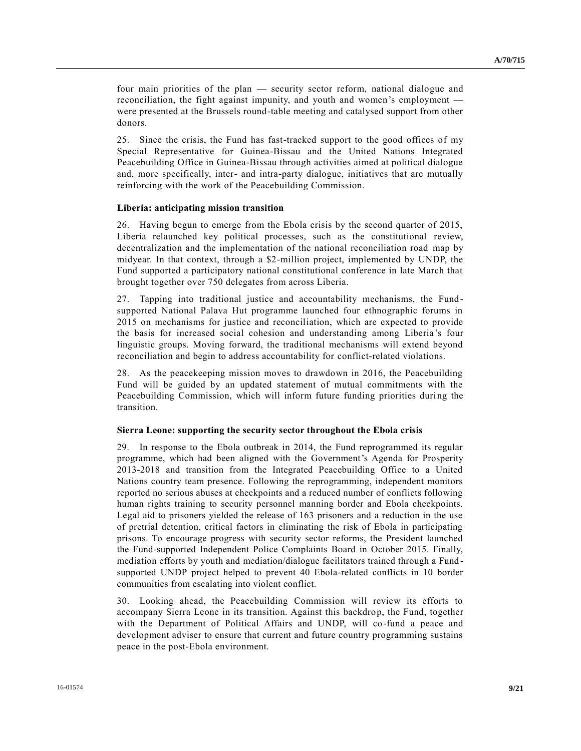four main priorities of the plan — security sector reform, national dialogue and reconciliation, the fight against impunity, and youth and women's employment were presented at the Brussels round-table meeting and catalysed support from other donors.

25. Since the crisis, the Fund has fast-tracked support to the good offices of my Special Representative for Guinea-Bissau and the United Nations Integrated Peacebuilding Office in Guinea-Bissau through activities aimed at political dialogue and, more specifically, inter- and intra-party dialogue, initiatives that are mutually reinforcing with the work of the Peacebuilding Commission.

## **Liberia: anticipating mission transition**

26. Having begun to emerge from the Ebola crisis by the second quarter of 2015, Liberia relaunched key political processes, such as the constitutional review, decentralization and the implementation of the national reconciliation road map by midyear. In that context, through a \$2-million project, implemented by UNDP, the Fund supported a participatory national constitutional conference in late March that brought together over 750 delegates from across Liberia.

27. Tapping into traditional justice and accountability mechanisms, the Fund supported National Palava Hut programme launched four ethnographic forums in 2015 on mechanisms for justice and reconciliation, which are expected to provide the basis for increased social cohesion and understanding among Liberia 's four linguistic groups. Moving forward, the traditional mechanisms will extend beyond reconciliation and begin to address accountability for conflict-related violations.

28. As the peacekeeping mission moves to drawdown in 2016, the Peacebuilding Fund will be guided by an updated statement of mutual commitments with the Peacebuilding Commission, which will inform future funding priorities during the transition.

#### **Sierra Leone: supporting the security sector throughout the Ebola crisis**

29. In response to the Ebola outbreak in 2014, the Fund reprogrammed its regular programme, which had been aligned with the Government's Agenda for Prosperity 2013-2018 and transition from the Integrated Peacebuilding Office to a United Nations country team presence. Following the reprogramming, independent monitors reported no serious abuses at checkpoints and a reduced number of conflicts following human rights training to security personnel manning border and Ebola checkpoints. Legal aid to prisoners yielded the release of 163 prisoners and a reduction in the use of pretrial detention, critical factors in eliminating the risk of Ebola in participating prisons. To encourage progress with security sector reforms, the President launched the Fund-supported Independent Police Complaints Board in October 2015. Finally, mediation efforts by youth and mediation/dialogue facilitators trained through a Fund supported UNDP project helped to prevent 40 Ebola-related conflicts in 10 border communities from escalating into violent conflict.

30. Looking ahead, the Peacebuilding Commission will review its efforts to accompany Sierra Leone in its transition. Against this backdrop, the Fund, together with the Department of Political Affairs and UNDP, will co-fund a peace and development adviser to ensure that current and future country programming sustains peace in the post-Ebola environment.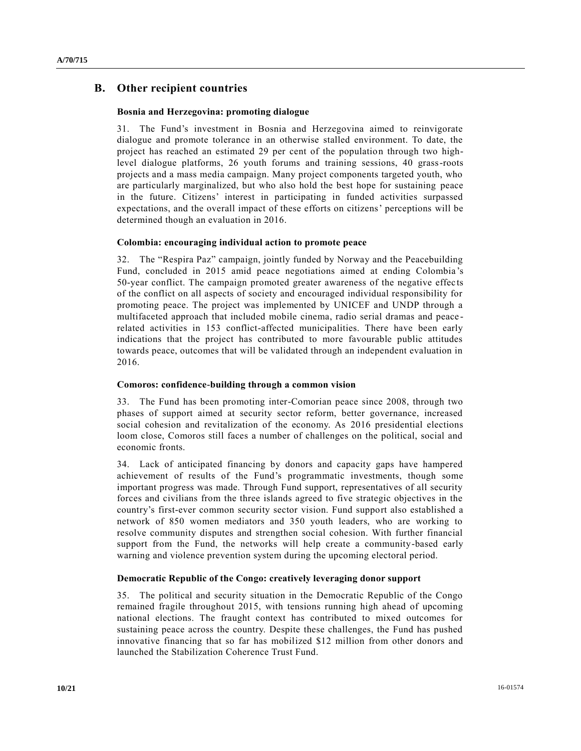# **B. Other recipient countries**

## **Bosnia and Herzegovina: promoting dialogue**

31. The Fund's investment in Bosnia and Herzegovina aimed to reinvigorate dialogue and promote tolerance in an otherwise stalled environment. To date, the project has reached an estimated 29 per cent of the population through two highlevel dialogue platforms, 26 youth forums and training sessions, 40 grass-roots projects and a mass media campaign. Many project components targeted youth, who are particularly marginalized, but who also hold the best hope for sustaining peace in the future. Citizens' interest in participating in funded activities surpassed expectations, and the overall impact of these efforts on citizens' perceptions will be determined though an evaluation in 2016.

## **Colombia: encouraging individual action to promote peace**

32. The "Respira Paz" campaign, jointly funded by Norway and the Peacebuilding Fund, concluded in 2015 amid peace negotiations aimed at ending Colombia 's 50-year conflict. The campaign promoted greater awareness of the negative effec ts of the conflict on all aspects of society and encouraged individual responsibility for promoting peace. The project was implemented by UNICEF and UNDP through a multifaceted approach that included mobile cinema, radio serial dramas and peace related activities in 153 conflict-affected municipalities. There have been early indications that the project has contributed to more favourable public attitudes towards peace, outcomes that will be validated through an independent evaluation in 2016.

#### **Comoros: confidence-building through a common vision**

33. The Fund has been promoting inter-Comorian peace since 2008, through two phases of support aimed at security sector reform, better governance, increased social cohesion and revitalization of the economy. As 2016 presidential elections loom close, Comoros still faces a number of challenges on the political, social and economic fronts.

34. Lack of anticipated financing by donors and capacity gaps have hampered achievement of results of the Fund's programmatic investments, though some important progress was made. Through Fund support, representatives of all security forces and civilians from the three islands agreed to five strategic objectives in the country's first-ever common security sector vision. Fund support also established a network of 850 women mediators and 350 youth leaders, who are working to resolve community disputes and strengthen social cohesion. With further financial support from the Fund, the networks will help create a community-based early warning and violence prevention system during the upcoming electoral period.

## **Democratic Republic of the Congo: creatively leveraging donor support**

35. The political and security situation in the Democratic Republic of the Congo remained fragile throughout 2015, with tensions running high ahead of upcoming national elections. The fraught context has contributed to mixed outcomes for sustaining peace across the country. Despite these challenges, the Fund has pushed innovative financing that so far has mobilized \$12 million from other donors and launched the Stabilization Coherence Trust Fund.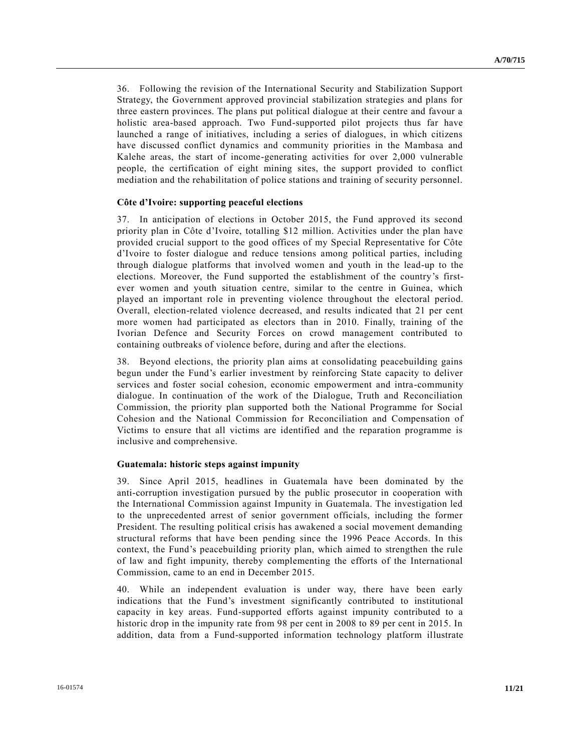36. Following the revision of the International Security and Stabilization Support Strategy, the Government approved provincial stabilization strategies and plans for three eastern provinces. The plans put political dialogue at their centre and favour a holistic area-based approach. Two Fund-supported pilot projects thus far have launched a range of initiatives, including a series of dialogues, in which citizens have discussed conflict dynamics and community priorities in the Mambasa and Kalehe areas, the start of income-generating activities for over 2,000 vulnerable people, the certification of eight mining sites, the support provided to conflict mediation and the rehabilitation of police stations and training of security personnel.

### **Côte d'Ivoire: supporting peaceful elections**

37. In anticipation of elections in October 2015, the Fund approved its second priority plan in Côte d'Ivoire, totalling \$12 million. Activities under the plan have provided crucial support to the good offices of my Special Representative for Côte d'Ivoire to foster dialogue and reduce tensions among political parties, including through dialogue platforms that involved women and youth in the lead-up to the elections. Moreover, the Fund supported the establishment of the country's firstever women and youth situation centre, similar to the centre in Guinea, which played an important role in preventing violence throughout the electoral period. Overall, election-related violence decreased, and results indicated that 21 per cent more women had participated as electors than in 2010. Finally, training of the Ivorian Defence and Security Forces on crowd management contributed to containing outbreaks of violence before, during and after the elections.

38. Beyond elections, the priority plan aims at consolidating peacebuilding gains begun under the Fund's earlier investment by reinforcing State capacity to deliver services and foster social cohesion, economic empowerment and intra-community dialogue. In continuation of the work of the Dialogue, Truth and Reconciliation Commission, the priority plan supported both the National Programme for Social Cohesion and the National Commission for Reconciliation and Compensation of Victims to ensure that all victims are identified and the reparation programme is inclusive and comprehensive.

#### **Guatemala: historic steps against impunity**

39. Since April 2015, headlines in Guatemala have been dominated by the anti-corruption investigation pursued by the public prosecutor in cooperation with the International Commission against Impunity in Guatemala. The investigation led to the unprecedented arrest of senior government officials, including the former President. The resulting political crisis has awakened a social movement demanding structural reforms that have been pending since the 1996 Peace Accords. In this context, the Fund's peacebuilding priority plan, which aimed to strengthen the rule of law and fight impunity, thereby complementing the efforts of the International Commission, came to an end in December 2015.

40. While an independent evaluation is under way, there have been early indications that the Fund's investment significantly contributed to institutional capacity in key areas. Fund-supported efforts against impunity contributed to a historic drop in the impunity rate from 98 per cent in 2008 to 89 per cent in 2015. In addition, data from a Fund-supported information technology platform illustrate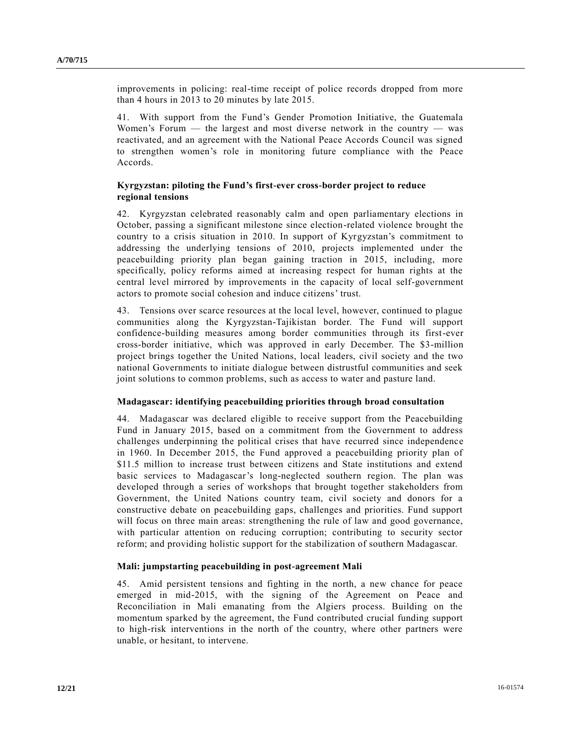improvements in policing: real-time receipt of police records dropped from more than 4 hours in 2013 to 20 minutes by late 2015.

41. With support from the Fund's Gender Promotion Initiative, the Guatemala Women's Forum — the largest and most diverse network in the country — was reactivated, and an agreement with the National Peace Accords Council was signed to strengthen women's role in monitoring future compliance with the Peace Accords.

## **Kyrgyzstan: piloting the Fund's first-ever cross-border project to reduce regional tensions**

42. Kyrgyzstan celebrated reasonably calm and open parliamentary elections in October, passing a significant milestone since election-related violence brought the country to a crisis situation in 2010. In support of Kyrgyzstan's commitment to addressing the underlying tensions of 2010, projects implemented under the peacebuilding priority plan began gaining traction in 2015, including, more specifically, policy reforms aimed at increasing respect for human rights at the central level mirrored by improvements in the capacity of local self-government actors to promote social cohesion and induce citizens' trust.

43. Tensions over scarce resources at the local level, however, continued to plague communities along the Kyrgyzstan-Tajikistan border. The Fund will support confidence-building measures among border communities through its first-ever cross-border initiative, which was approved in early December. The \$3-million project brings together the United Nations, local leaders, civil society and the two national Governments to initiate dialogue between distrustful communities and seek joint solutions to common problems, such as access to water and pasture land.

## **Madagascar: identifying peacebuilding priorities through broad consultation**

44. Madagascar was declared eligible to receive support from the Peacebuilding Fund in January 2015, based on a commitment from the Government to address challenges underpinning the political crises that have recurred since independence in 1960. In December 2015, the Fund approved a peacebuilding priority plan of \$11.5 million to increase trust between citizens and State institutions and extend basic services to Madagascar's long-neglected southern region. The plan was developed through a series of workshops that brought together stakeholders from Government, the United Nations country team, civil society and donors for a constructive debate on peacebuilding gaps, challenges and priorities. Fund support will focus on three main areas: strengthening the rule of law and good governance, with particular attention on reducing corruption; contributing to security sector reform; and providing holistic support for the stabilization of southern Madagascar.

#### **Mali: jumpstarting peacebuilding in post-agreement Mali**

45. Amid persistent tensions and fighting in the north, a new chance for peace emerged in mid-2015, with the signing of the Agreement on Peace and Reconciliation in Mali emanating from the Algiers process. Building on the momentum sparked by the agreement, the Fund contributed crucial funding support to high-risk interventions in the north of the country, where other partners were unable, or hesitant, to intervene.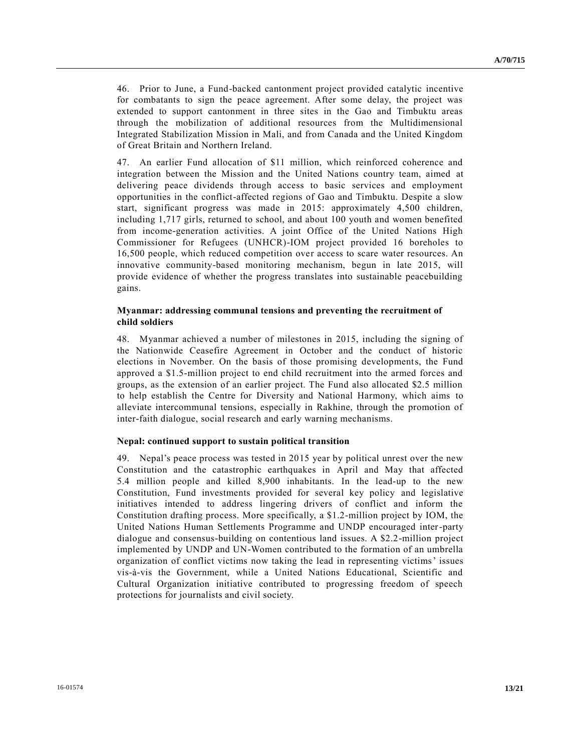46. Prior to June, a Fund-backed cantonment project provided catalytic incentive for combatants to sign the peace agreement. After some delay, the project was extended to support cantonment in three sites in the Gao and Timbuktu areas through the mobilization of additional resources from the Multidimensional Integrated Stabilization Mission in Mali, and from Canada and the United Kingdom of Great Britain and Northern Ireland.

47. An earlier Fund allocation of \$11 million, which reinforced coherence and integration between the Mission and the United Nations country team, aimed at delivering peace dividends through access to basic services and employment opportunities in the conflict-affected regions of Gao and Timbuktu. Despite a slow start, significant progress was made in 2015: approximately 4,500 children, including 1,717 girls, returned to school, and about 100 youth and women benefited from income-generation activities. A joint Office of the United Nations High Commissioner for Refugees (UNHCR)-IOM project provided 16 boreholes to 16,500 people, which reduced competition over access to scare water resources. An innovative community-based monitoring mechanism, begun in late 2015, will provide evidence of whether the progress translates into sustainable peacebuilding gains.

## **Myanmar: addressing communal tensions and preventing the recruitment of child soldiers**

48. Myanmar achieved a number of milestones in 2015, including the signing of the Nationwide Ceasefire Agreement in October and the conduct of historic elections in November. On the basis of those promising developments, the Fund approved a \$1.5-million project to end child recruitment into the armed forces and groups, as the extension of an earlier project. The Fund also allocated \$2.5 million to help establish the Centre for Diversity and National Harmony, which aims to alleviate intercommunal tensions, especially in Rakhine, through the promotion of inter-faith dialogue, social research and early warning mechanisms.

## **Nepal: continued support to sustain political transition**

49. Nepal's peace process was tested in 2015 year by political unrest over the new Constitution and the catastrophic earthquakes in April and May that affected 5.4 million people and killed 8,900 inhabitants. In the lead-up to the new Constitution, Fund investments provided for several key policy and legislative initiatives intended to address lingering drivers of conflict and inform the Constitution drafting process. More specifically, a \$1.2-million project by IOM, the United Nations Human Settlements Programme and UNDP encouraged inter-party dialogue and consensus-building on contentious land issues. A \$2.2-million project implemented by UNDP and UN-Women contributed to the formation of an umbrella organization of conflict victims now taking the lead in representing victims' issues vis-à-vis the Government, while a United Nations Educational, Scientific and Cultural Organization initiative contributed to progressing freedom of speech protections for journalists and civil society.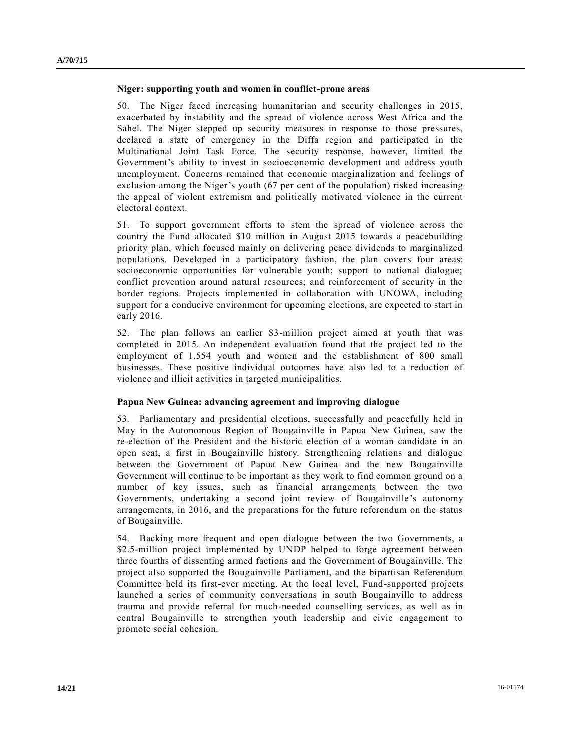### **Niger: supporting youth and women in conflict-prone areas**

50. The Niger faced increasing humanitarian and security challenges in 2015, exacerbated by instability and the spread of violence across West Africa and the Sahel. The Niger stepped up security measures in response to those pressures, declared a state of emergency in the Diffa region and participated in the Multinational Joint Task Force. The security response, however, limited the Government's ability to invest in socioeconomic development and address youth unemployment. Concerns remained that economic marginalization and feelings of exclusion among the Niger's youth (67 per cent of the population) risked increasing the appeal of violent extremism and politically motivated violence in the current electoral context.

51. To support government efforts to stem the spread of violence across the country the Fund allocated \$10 million in August 2015 towards a peacebuilding priority plan, which focused mainly on delivering peace dividends to marginalized populations. Developed in a participatory fashion, the plan covers four areas: socioeconomic opportunities for vulnerable youth; support to national dialogue; conflict prevention around natural resources; and reinforcement of security in the border regions. Projects implemented in collaboration with UNOWA, including support for a conducive environment for upcoming elections, are expected to start in early 2016.

52. The plan follows an earlier \$3-million project aimed at youth that was completed in 2015. An independent evaluation found that the project led to the employment of 1,554 youth and women and the establishment of 800 small businesses. These positive individual outcomes have also led to a reduction of violence and illicit activities in targeted municipalities.

## **Papua New Guinea: advancing agreement and improving dialogue**

53. Parliamentary and presidential elections, successfully and peacefully held in May in the Autonomous Region of Bougainville in Papua New Guinea, saw the re-election of the President and the historic election of a woman candidate in an open seat, a first in Bougainville history. Strengthening relations and dialogue between the Government of Papua New Guinea and the new Bougainville Government will continue to be important as they work to find common ground on a number of key issues, such as financial arrangements between the two Governments, undertaking a second joint review of Bougainville's autonomy arrangements, in 2016, and the preparations for the future referendum on the status of Bougainville.

54. Backing more frequent and open dialogue between the two Governments, a \$2.5-million project implemented by UNDP helped to forge agreement between three fourths of dissenting armed factions and the Government of Bougainville. The project also supported the Bougainville Parliament, and the bipartisan Referendum Committee held its first-ever meeting. At the local level, Fund-supported projects launched a series of community conversations in south Bougainville to address trauma and provide referral for much-needed counselling services, as well as in central Bougainville to strengthen youth leadership and civic engagement to promote social cohesion.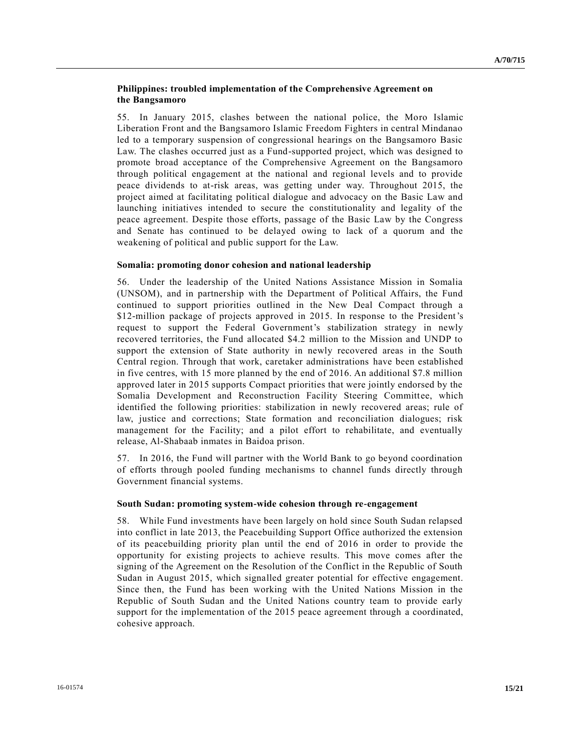## **Philippines: troubled implementation of the Comprehensive Agreement on the Bangsamoro**

55. In January 2015, clashes between the national police, the Moro Islamic Liberation Front and the Bangsamoro Islamic Freedom Fighters in central Mindanao led to a temporary suspension of congressional hearings on the Bangsamoro Basic Law. The clashes occurred just as a Fund-supported project, which was designed to promote broad acceptance of the Comprehensive Agreement on the Bangsamoro through political engagement at the national and regional levels and to provide peace dividends to at-risk areas, was getting under way. Throughout 2015, the project aimed at facilitating political dialogue and advocacy on the Basic Law and launching initiatives intended to secure the constitutionality and legality of the peace agreement. Despite those efforts, passage of the Basic Law by the Congress and Senate has continued to be delayed owing to lack of a quorum and the weakening of political and public support for the Law.

## **Somalia: promoting donor cohesion and national leadership**

56. Under the leadership of the United Nations Assistance Mission in Somalia (UNSOM), and in partnership with the Department of Political Affairs, the Fund continued to support priorities outlined in the New Deal Compact through a \$12-million package of projects approved in 2015. In response to the President's request to support the Federal Government's stabilization strategy in newly recovered territories, the Fund allocated \$4.2 million to the Mission and UNDP to support the extension of State authority in newly recovered areas in the South Central region. Through that work, caretaker administrations have been established in five centres, with 15 more planned by the end of 2016. An additional \$7.8 million approved later in 2015 supports Compact priorities that were jointly endorsed by the Somalia Development and Reconstruction Facility Steering Committee, which identified the following priorities: stabilization in newly recovered areas; rule of law, justice and corrections; State formation and reconciliation dialogues; risk management for the Facility; and a pilot effort to rehabilitate, and eventually release, Al-Shabaab inmates in Baidoa prison.

57. In 2016, the Fund will partner with the World Bank to go beyond coordination of efforts through pooled funding mechanisms to channel funds directly through Government financial systems.

#### **South Sudan: promoting system-wide cohesion through re-engagement**

58. While Fund investments have been largely on hold since South Sudan relapsed into conflict in late 2013, the Peacebuilding Support Office authorized the extension of its peacebuilding priority plan until the end of 2016 in order to provide the opportunity for existing projects to achieve results. This move comes after the signing of the Agreement on the Resolution of the Conflict in the Republic of South Sudan in August 2015, which signalled greater potential for effective engagement. Since then, the Fund has been working with the United Nations Mission in the Republic of South Sudan and the United Nations country team to provide early support for the implementation of the 2015 peace agreement through a coordinated, cohesive approach.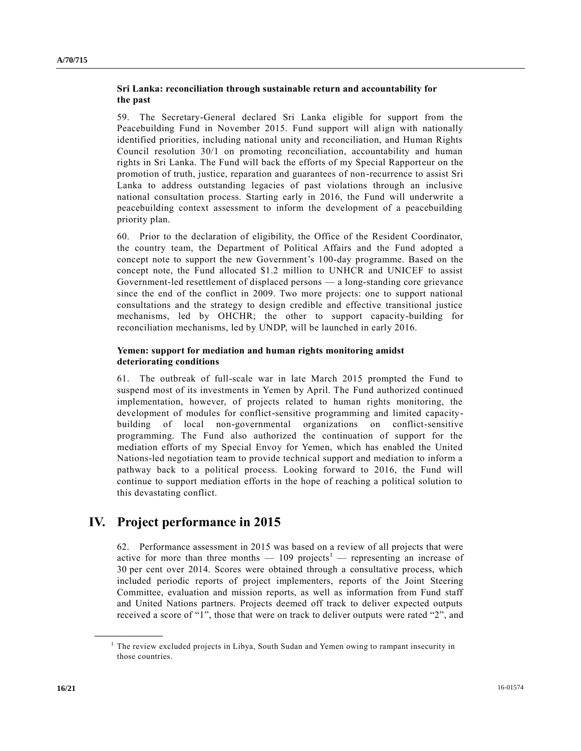## **Sri Lanka: reconciliation through sustainable return and accountability for the past**

59. The Secretary-General declared Sri Lanka eligible for support from the Peacebuilding Fund in November 2015. Fund support will align with nationally identified priorities, including national unity and reconciliation, and Human Rights Council resolution 30/1 on promoting reconciliation, accountability and human rights in Sri Lanka. The Fund will back the efforts of my Special Rapporteur on the promotion of truth, justice, reparation and guarantees of non-recurrence to assist Sri Lanka to address outstanding legacies of past violations through an inclusive national consultation process. Starting early in 2016, the Fund will underwrite a peacebuilding context assessment to inform the development of a peacebuilding priority plan.

60. Prior to the declaration of eligibility, the Office of the Resident Coordinator, the country team, the Department of Political Affairs and the Fund adopted a concept note to support the new Government's 100-day programme. Based on the concept note, the Fund allocated \$1.2 million to UNHCR and UNICEF to assist Government-led resettlement of displaced persons — a long-standing core grievance since the end of the conflict in 2009. Two more projects: one to support national consultations and the strategy to design credible and effective transitional justice mechanisms, led by OHCHR; the other to support capacity-building for reconciliation mechanisms, led by UNDP, will be launched in early 2016.

## **Yemen: support for mediation and human rights monitoring amidst deteriorating conditions**

61. The outbreak of full-scale war in late March 2015 prompted the Fund to suspend most of its investments in Yemen by April. The Fund authorized continued implementation, however, of projects related to human rights monitoring, the development of modules for conflict-sensitive programming and limited capacitybuilding of local non-governmental organizations on conflict-sensitive programming. The Fund also authorized the continuation of support for the mediation efforts of my Special Envoy for Yemen, which has enabled the United Nations-led negotiation team to provide technical support and mediation to inform a pathway back to a political process. Looking forward to 2016, the Fund will continue to support mediation efforts in the hope of reaching a political solution to this devastating conflict.

# **IV. Project performance in 2015**

62. Performance assessment in 2015 was based on a review of all projects that were active for more than three months —  $109$  projects<sup>1</sup> — representing an increase of 30 per cent over 2014. Scores were obtained through a consultative process, which included periodic reports of project implementers, reports of the Joint Steering Committee, evaluation and mission reports, as well as information from Fund staff and United Nations partners. Projects deemed off track to deliver expected outputs received a score of "1", those that were on track to deliver outputs were rated "2", and

**\_\_\_\_\_\_\_\_\_\_\_\_\_\_\_\_\_\_**

<sup>&</sup>lt;sup>1</sup> The review excluded projects in Libya, South Sudan and Yemen owing to rampant insecurity in those countries.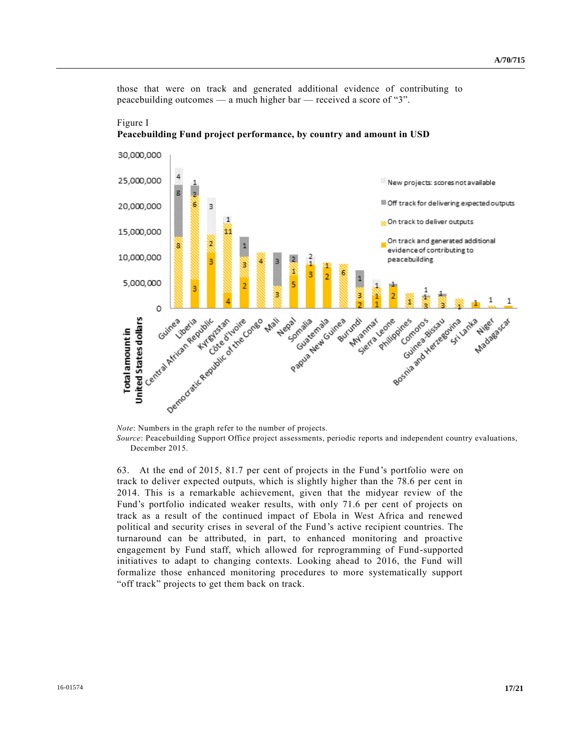those that were on track and generated additional evidence of contributing to peacebuilding outcomes — a much higher bar — received a score of "3".





63. At the end of 2015, 81.7 per cent of projects in the Fund's portfolio were on track to deliver expected outputs, which is slightly higher than the 78.6 per cent in 2014. This is a remarkable achievement, given that the midyear review of the Fund's portfolio indicated weaker results, with only 71.6 per cent of projects on track as a result of the continued impact of Ebola in West Africa and renewed political and security crises in several of the Fund's active recipient countries. The turnaround can be attributed, in part, to enhanced monitoring and proactive engagement by Fund staff, which allowed for reprogramming of Fund-supported initiatives to adapt to changing contexts. Looking ahead to 2016, the Fund will formalize those enhanced monitoring procedures to more systematically support "off track" projects to get them back on track.

*Source*: Peacebuilding Support Office project assessments, periodic reports and independent country evaluations, December 2015.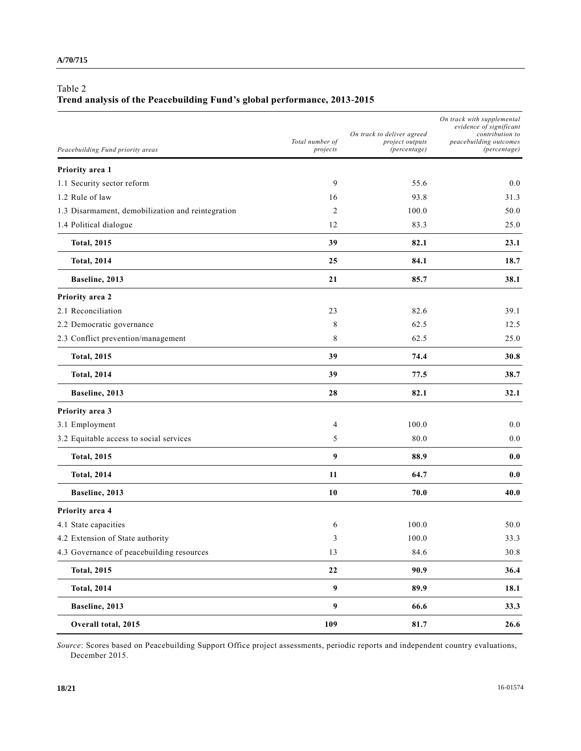# Table 2

# **Trend analysis of the Peacebuilding Fund's global performance, 2013-2015**

| Peacebuilding Fund priority areas                 | Total number of<br>projects | On track to deliver agreed<br>project outputs<br>(percentage) | On track with supplemental<br>evidence of significant<br>contribution to<br>peacebuilding outcomes<br>(percentage) |
|---------------------------------------------------|-----------------------------|---------------------------------------------------------------|--------------------------------------------------------------------------------------------------------------------|
| Priority area 1                                   |                             |                                                               |                                                                                                                    |
| 1.1 Security sector reform                        | 9                           | 55.6                                                          | 0.0                                                                                                                |
| 1.2 Rule of law                                   | 16                          | 93.8                                                          | 31.3                                                                                                               |
| 1.3 Disarmament, demobilization and reintegration | 2                           | 100.0                                                         | 50.0                                                                                                               |
| 1.4 Political dialogue                            | 12                          | 83.3                                                          | 25.0                                                                                                               |
| <b>Total, 2015</b>                                | 39                          | 82.1                                                          | 23.1                                                                                                               |
| <b>Total, 2014</b>                                | 25                          | 84.1                                                          | 18.7                                                                                                               |
| Baseline, 2013                                    | 21                          | 85.7                                                          | 38.1                                                                                                               |
| Priority area 2                                   |                             |                                                               |                                                                                                                    |
| 2.1 Reconciliation                                | 23                          | 82.6                                                          | 39.1                                                                                                               |
| 2.2 Democratic governance                         | 8                           | 62.5                                                          | 12.5                                                                                                               |
| 2.3 Conflict prevention/management                | 8                           | 62.5                                                          | 25.0                                                                                                               |
| <b>Total, 2015</b>                                | 39                          | 74.4                                                          | 30.8                                                                                                               |
| <b>Total, 2014</b>                                | 39                          | 77.5                                                          | 38.7                                                                                                               |
| Baseline, 2013                                    | 28                          | 82.1                                                          | 32.1                                                                                                               |
| Priority area 3                                   |                             |                                                               |                                                                                                                    |
| 3.1 Employment                                    | 4                           | 100.0                                                         | 0.0                                                                                                                |
| 3.2 Equitable access to social services           | 5                           | 80.0                                                          | 0.0                                                                                                                |
| <b>Total, 2015</b>                                | $\boldsymbol{9}$            | 88.9                                                          | 0.0                                                                                                                |
| <b>Total, 2014</b>                                | 11                          | 64.7                                                          | 0.0                                                                                                                |
| Baseline, 2013                                    | 10                          | 70.0                                                          | 40.0                                                                                                               |
| Priority area 4                                   |                             |                                                               |                                                                                                                    |
| 4.1 State capacities                              | 6                           | 100.0                                                         | 50.0                                                                                                               |
| 4.2 Extension of State authority                  | 3                           | 100.0                                                         | 33.3                                                                                                               |
| 4.3 Governance of peacebuilding resources         | 13                          | 84.6                                                          | 30.8                                                                                                               |
| <b>Total, 2015</b>                                | $\bf{22}$                   | 90.9                                                          | 36.4                                                                                                               |
| <b>Total, 2014</b>                                | $\boldsymbol{9}$            | 89.9                                                          | 18.1                                                                                                               |
| Baseline, 2013                                    | $\boldsymbol{9}$            | 66.6                                                          | 33.3                                                                                                               |
| Overall total, 2015                               | 109                         | 81.7                                                          | 26.6                                                                                                               |

*Source*: Scores based on Peacebuilding Support Office project assessments, periodic reports and independent country evaluations, December 2015.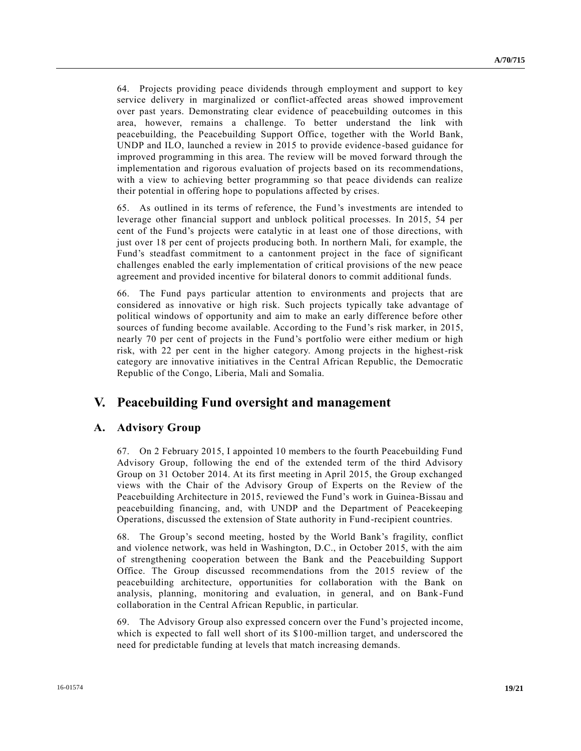64. Projects providing peace dividends through employment and support to key service delivery in marginalized or conflict-affected areas showed improvement over past years. Demonstrating clear evidence of peacebuilding outcomes in this area, however, remains a challenge. To better understand the link with peacebuilding, the Peacebuilding Support Office, together with the World Bank, UNDP and ILO, launched a review in 2015 to provide evidence-based guidance for improved programming in this area. The review will be moved forward through the implementation and rigorous evaluation of projects based on its recommendations, with a view to achieving better programming so that peace dividends can realize their potential in offering hope to populations affected by crises.

65. As outlined in its terms of reference, the Fund's investments are intended to leverage other financial support and unblock political processes. In 2015, 54 per cent of the Fund's projects were catalytic in at least one of those directions, with just over 18 per cent of projects producing both. In northern Mali, for example, the Fund's steadfast commitment to a cantonment project in the face of significant challenges enabled the early implementation of critical provisions of the new peace agreement and provided incentive for bilateral donors to commit additional funds.

66. The Fund pays particular attention to environments and projects that are considered as innovative or high risk. Such projects typically take advantage of political windows of opportunity and aim to make an early difference before other sources of funding become available. According to the Fund's risk marker, in 2015, nearly 70 per cent of projects in the Fund's portfolio were either medium or high risk, with 22 per cent in the higher category. Among projects in the highest-risk category are innovative initiatives in the Central African Republic, the Democratic Republic of the Congo, Liberia, Mali and Somalia.

# **V. Peacebuilding Fund oversight and management**

# **A. Advisory Group**

67. On 2 February 2015, I appointed 10 members to the fourth Peacebuilding Fund Advisory Group, following the end of the extended term of the third Advisory Group on 31 October 2014. At its first meeting in April 2015, the Group exchanged views with the Chair of the Advisory Group of Experts on the Review of the Peacebuilding Architecture in 2015, reviewed the Fund's work in Guinea-Bissau and peacebuilding financing, and, with UNDP and the Department of Peacekeeping Operations, discussed the extension of State authority in Fund-recipient countries.

68. The Group's second meeting, hosted by the World Bank's fragility, conflict and violence network, was held in Washington, D.C., in October 2015, with the aim of strengthening cooperation between the Bank and the Peacebuilding Support Office. The Group discussed recommendations from the 2015 review of the peacebuilding architecture, opportunities for collaboration with the Bank on analysis, planning, monitoring and evaluation, in general, and on Bank-Fund collaboration in the Central African Republic, in particular.

69. The Advisory Group also expressed concern over the Fund's projected income, which is expected to fall well short of its \$100-million target, and underscored the need for predictable funding at levels that match increasing demands.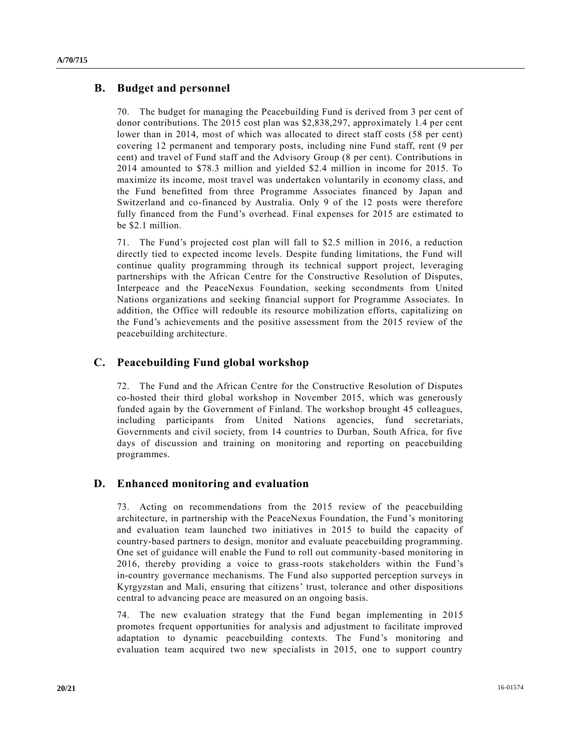# **B. Budget and personnel**

70. The budget for managing the Peacebuilding Fund is derived from 3 per cent of donor contributions. The 2015 cost plan was \$2,838,297, approximately 1.4 per cent lower than in 2014, most of which was allocated to direct staff costs (58 per cent) covering 12 permanent and temporary posts, including nine Fund staff, rent (9 per cent) and travel of Fund staff and the Advisory Group (8 per cent). Contributions in 2014 amounted to \$78.3 million and yielded \$2.4 million in income for 2015. To maximize its income, most travel was undertaken voluntarily in economy class, and the Fund benefitted from three Programme Associates financed by Japan and Switzerland and co-financed by Australia. Only 9 of the 12 posts were therefore fully financed from the Fund's overhead. Final expenses for 2015 are estimated to be \$2.1 million.

71. The Fund's projected cost plan will fall to \$2.5 million in 2016, a reduction directly tied to expected income levels. Despite funding limitations, the Fund will continue quality programming through its technical support project, leveraging partnerships with the African Centre for the Constructive Resolution of Disputes, Interpeace and the PeaceNexus Foundation, seeking secondments from United Nations organizations and seeking financial support for Programme Associates. In addition, the Office will redouble its resource mobilization efforts, capitalizing on the Fund's achievements and the positive assessment from the 2015 review of the peacebuilding architecture.

# **C. Peacebuilding Fund global workshop**

72. The Fund and the African Centre for the Constructive Resolution of Disputes co-hosted their third global workshop in November 2015, which was generously funded again by the Government of Finland. The workshop brought 45 colleagues, including participants from United Nations agencies, fund secretariats, Governments and civil society, from 14 countries to Durban, South Africa, for five days of discussion and training on monitoring and reporting on peacebuilding programmes.

# **D. Enhanced monitoring and evaluation**

73. Acting on recommendations from the 2015 review of the peacebuilding architecture, in partnership with the PeaceNexus Foundation, the Fund's monitoring and evaluation team launched two initiatives in 2015 to build the capacity of country-based partners to design, monitor and evaluate peacebuilding programming. One set of guidance will enable the Fund to roll out community-based monitoring in 2016, thereby providing a voice to grass-roots stakeholders within the Fund's in-country governance mechanisms. The Fund also supported perception surveys in Kyrgyzstan and Mali, ensuring that citizens' trust, tolerance and other dispositions central to advancing peace are measured on an ongoing basis.

74. The new evaluation strategy that the Fund began implementing in 2015 promotes frequent opportunities for analysis and adjustment to facilitate improved adaptation to dynamic peacebuilding contexts. The Fund's monitoring and evaluation team acquired two new specialists in 2015, one to support country